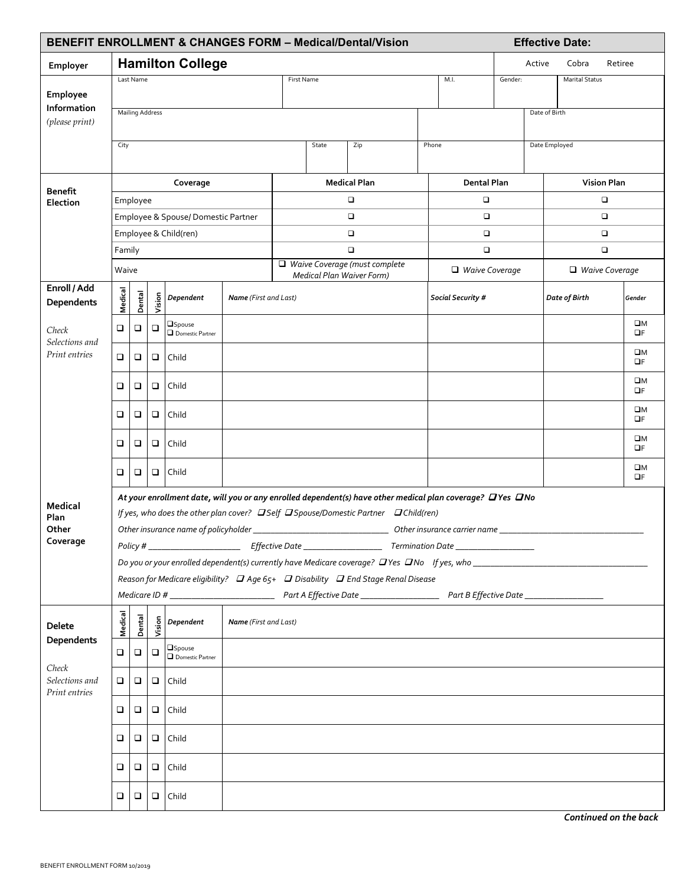|                                                        |                                                                                                  |                                                                                                           |        |                                    |                              |                                 |  | <b>BENEFIT ENROLLMENT &amp; CHANGES FORM - Medical/Dental/Vision</b>              |  |                       |               |        | <b>Effective Date:</b> |         |                         |
|--------------------------------------------------------|--------------------------------------------------------------------------------------------------|-----------------------------------------------------------------------------------------------------------|--------|------------------------------------|------------------------------|---------------------------------|--|-----------------------------------------------------------------------------------|--|-----------------------|---------------|--------|------------------------|---------|-------------------------|
| Employer                                               |                                                                                                  |                                                                                                           |        | <b>Hamilton College</b>            |                              |                                 |  |                                                                                   |  |                       |               | Active | Cobra                  | Retiree |                         |
|                                                        | Last Name                                                                                        |                                                                                                           |        |                                    |                              | M.I.<br>First Name              |  |                                                                                   |  |                       | Gender:       |        | <b>Marital Status</b>  |         |                         |
| Employee                                               |                                                                                                  |                                                                                                           |        |                                    |                              |                                 |  |                                                                                   |  |                       |               |        |                        |         |                         |
| Information<br>(please print)                          |                                                                                                  | <b>Mailing Address</b>                                                                                    |        |                                    |                              |                                 |  |                                                                                   |  |                       | Date of Birth |        |                        |         |                         |
|                                                        |                                                                                                  |                                                                                                           |        |                                    |                              |                                 |  |                                                                                   |  |                       |               |        |                        |         |                         |
|                                                        | City                                                                                             |                                                                                                           |        |                                    |                              | State<br>Zip                    |  |                                                                                   |  | Phone                 |               |        | Date Employed          |         |                         |
|                                                        |                                                                                                  |                                                                                                           |        |                                    |                              |                                 |  |                                                                                   |  |                       |               |        |                        |         |                         |
| <b>Benefit</b><br>Election                             | Coverage                                                                                         |                                                                                                           |        |                                    |                              | <b>Medical Plan</b>             |  |                                                                                   |  | Dental Plan           |               |        | <b>Vision Plan</b>     |         |                         |
|                                                        | Employee                                                                                         |                                                                                                           |        |                                    |                              | о                               |  |                                                                                   |  | $\Box$                |               |        | $\Box$                 |         |                         |
|                                                        | Employee & Spouse/Domestic Partner                                                               |                                                                                                           |        |                                    |                              | о<br>$\Box$                     |  |                                                                                   |  | $\Box$<br>$\Box$      |               |        | $\Box$<br>$\Box$       |         |                         |
|                                                        | Employee & Child(ren)<br>Family                                                                  |                                                                                                           |        |                                    |                              | $\Box$                          |  |                                                                                   |  | $\Box$                |               |        | $\Box$                 |         |                         |
|                                                        | Waive                                                                                            |                                                                                                           |        |                                    |                              | □ Waive Coverage (must complete |  |                                                                                   |  | $\Box$ Waive Coverage |               |        | $\Box$ Waive Coverage  |         |                         |
| Enroll / Add                                           |                                                                                                  |                                                                                                           |        |                                    |                              |                                 |  | <b>Medical Plan Waiver Form)</b>                                                  |  |                       |               |        |                        |         |                         |
| Dependents                                             | Medical                                                                                          | Dental                                                                                                    | Vision | Dependent                          | Name (First and Last)        |                                 |  |                                                                                   |  | Social Security #     |               |        | Date of Birth          |         | Gender                  |
| Check<br>Selections and<br>Print entries               |                                                                                                  |                                                                                                           |        | $\square$ Spouse                   |                              |                                 |  |                                                                                   |  |                       |               |        |                        |         | $\square M$             |
|                                                        | $\Box$                                                                                           | □                                                                                                         | $\Box$ | $\Box$ Domestic Partner            |                              |                                 |  |                                                                                   |  |                       |               |        |                        |         | $\Box F$                |
|                                                        | $\Box$                                                                                           | □                                                                                                         | ❏      | Child                              |                              |                                 |  |                                                                                   |  |                       |               |        |                        |         | $\square M$<br>OF       |
|                                                        | ❏                                                                                                | □                                                                                                         | ❏      | Child                              |                              |                                 |  |                                                                                   |  |                       |               |        |                        |         | $\square M$<br>OF       |
|                                                        | $\Box$                                                                                           | □                                                                                                         | $\Box$ | Child                              |                              |                                 |  |                                                                                   |  |                       |               |        |                        |         | $\square M$<br>OF       |
|                                                        | ❏                                                                                                | □                                                                                                         | ❏      | Child                              |                              |                                 |  |                                                                                   |  |                       |               |        |                        |         | $\square M$<br>$\Box F$ |
|                                                        | ❏                                                                                                | □                                                                                                         | ❏      | Child                              |                              |                                 |  |                                                                                   |  |                       |               |        |                        |         | $\square M$<br>$\Box F$ |
| <b>Medical</b>                                         |                                                                                                  | At your enrollment date, will you or any enrolled dependent(s) have other medical plan coverage? DYes DNo |        |                                    |                              |                                 |  |                                                                                   |  |                       |               |        |                        |         |                         |
| Plan                                                   |                                                                                                  |                                                                                                           |        |                                    |                              |                                 |  | If yes, who does the other plan cover? DSelf DSpouse/Domestic Partner DChild(ren) |  |                       |               |        |                        |         |                         |
| Other<br>Coverage                                      |                                                                                                  |                                                                                                           |        |                                    |                              | Other insurance carrier name __ |  |                                                                                   |  |                       |               |        |                        |         |                         |
|                                                        |                                                                                                  |                                                                                                           |        |                                    |                              |                                 |  |                                                                                   |  |                       |               |        |                        |         |                         |
|                                                        |                                                                                                  |                                                                                                           |        |                                    |                              |                                 |  |                                                                                   |  |                       |               |        |                        |         |                         |
|                                                        | Reason for Medicare eligibility? $\Box$ Age 65+ $\Box$ Disability $\Box$ End Stage Renal Disease |                                                                                                           |        |                                    |                              |                                 |  |                                                                                   |  |                       |               |        |                        |         |                         |
| <b>Delete</b>                                          | Medical                                                                                          | Dental                                                                                                    |        | $\frac{5}{3}$ Dependent            | <b>Name</b> (First and Last) |                                 |  |                                                                                   |  |                       |               |        |                        |         |                         |
| Dependents<br>Check<br>Selections and<br>Print entries | □                                                                                                | ❏                                                                                                         | $\Box$ | <b>OSpouse</b><br>Domestic Partner |                              |                                 |  |                                                                                   |  |                       |               |        |                        |         |                         |
|                                                        | □                                                                                                | $\Box$                                                                                                    |        | $\Box$ Child                       |                              |                                 |  |                                                                                   |  |                       |               |        |                        |         |                         |
|                                                        | □                                                                                                | □                                                                                                         |        | $\Box$ Child                       |                              |                                 |  |                                                                                   |  |                       |               |        |                        |         |                         |
|                                                        | ❏                                                                                                | □                                                                                                         |        | $\Box$ Child                       |                              |                                 |  |                                                                                   |  |                       |               |        |                        |         |                         |
|                                                        | ❏                                                                                                | □                                                                                                         |        | $\Box$ Child                       |                              |                                 |  |                                                                                   |  |                       |               |        |                        |         |                         |
|                                                        | □                                                                                                | ❏                                                                                                         | $\Box$ | Child                              |                              |                                 |  |                                                                                   |  |                       |               |        |                        |         |                         |